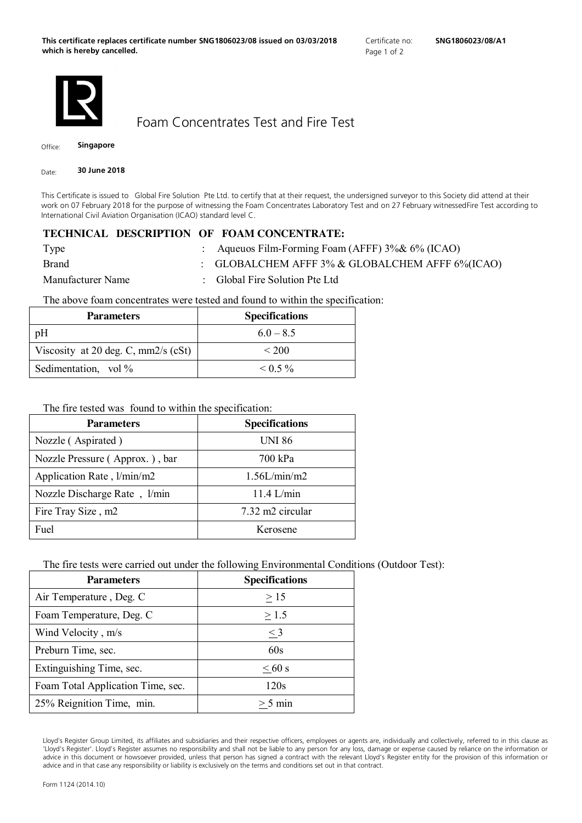

<span id="page-0-1"></span>Foam Concentrates Test and Fire Test

Office: **Singapore**

Date: **30 June 2018**

<span id="page-0-0"></span>This Certificate is issued to Global Fire Solution Pte Ltd. to certify that at their request, the undersigned surveyor to this Society did attend at their work on 07 February 2018 for the purpose of witnessing the Foam Concentrates Laboratory Test and on 27 February witnessedFire Test according to International Civil Aviation Organisation (ICAO) standard level C.

## **TECHNICAL DESCRIPTION OF FOAM CONCENTRATE:**

| Type              | : Aqueuos Film-Forming Foam (AFFF) $3\%$ & $6\%$ (ICAO) |
|-------------------|---------------------------------------------------------|
| <b>Brand</b>      | : GLOBALCHEM AFFF $3\%$ & GLOBALCHEM AFFF $6\%$ (ICAO)  |
| Manufacturer Name | : Global Fire Solution Pte Ltd                          |

The above foam concentrates were tested and found to within the specification:

| <b>Parameters</b>                     | <b>Specifications</b> |
|---------------------------------------|-----------------------|
| pH                                    | $60 - 85$             |
| Viscosity at 20 deg. C, $mm2/s$ (cSt) | < 200                 |
| Sedimentation, vol %                  | $\leq$ 0.5 %          |

The fire tested was found to within the specification:

| <b>Parameters</b>              | <b>Specifications</b> |
|--------------------------------|-----------------------|
| Nozzle (Aspirated)             | UNI 86                |
| Nozzle Pressure (Approx.), bar | 700 kPa               |
| Application Rate, 1/min/m2     | 1.56L/min/m2          |
| Nozzle Discharge Rate, 1/min   | $11.4$ L/min          |
| Fire Tray Size, m2             | 7.32 m2 circular      |
| Fuel                           | Kerosene              |

The fire tests were carried out under the following Environmental Conditions (Outdoor Test):

| <b>Parameters</b>                 | <b>Specifications</b> |
|-----------------------------------|-----------------------|
| Air Temperature, Deg. C           | >15                   |
| Foam Temperature, Deg. C          | > 1.5                 |
| Wind Velocity, m/s                | $\leq$ 3              |
| Preburn Time, sec.                | 60s                   |
| Extinguishing Time, sec.          | $\leq 60$ s           |
| Foam Total Application Time, sec. | 120s                  |
| 25% Reignition Time, min.         | $> 5 \text{ min}$     |

Lloyd's Register Group Limited, its affiliates and subsidiaries and their respective officers, employees or agents are, individually and collectively, referred to in this clause as 'Lloyd's Register'. Lloyd's Register assumes no responsibility and shall not be liable to any person for any loss, damage or expense caused by reliance on the information or advice in this document or howsoever provided, unless that person has signed a contract with the relevant Lloyd's Register entity for the provision of this information or advice and in that case any responsibility or liability is exclusively on the terms and conditions set out in that contract.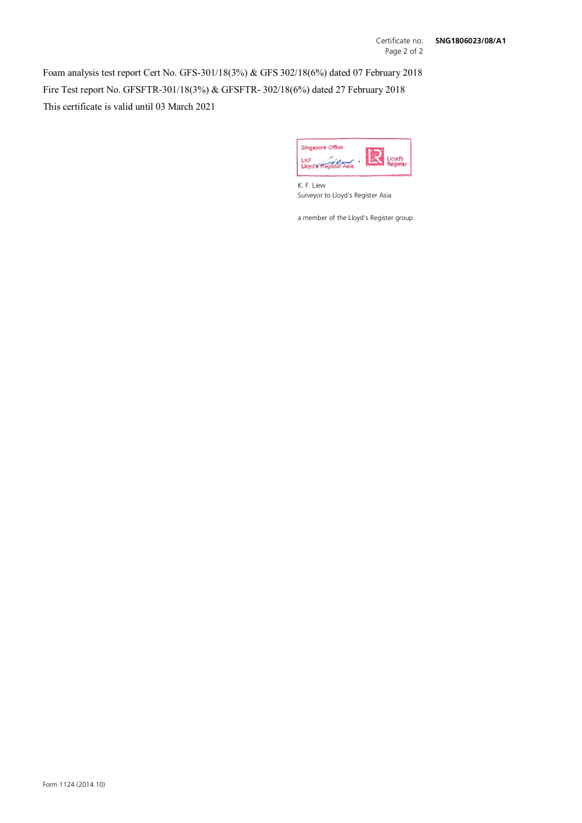Foam analysis test report Cert No. GFS-301/18(3%) & GFS 302/18(6%) dated 07 February 2018 Fire Test report No. GFSFTR-301/18(3%) & GFSFTR- 302/18(6%) dated 27 February 2018 This certificate is valid until 03 March 2021



K. F. Liew Surveyor to Lloyd's Register Asia

a member of the Lloyd's Register group.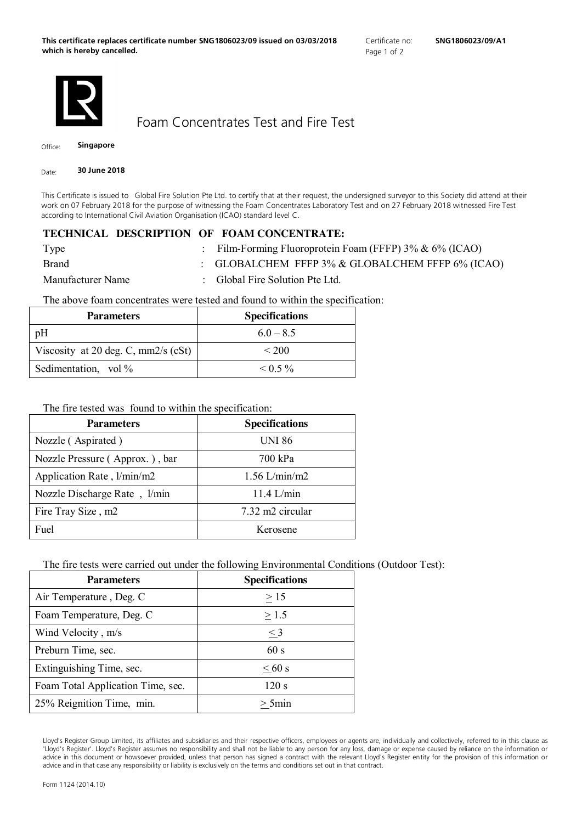

Foam Concentrates Test and Fire Test

Office: **Singapore**

Date: **30 June 2018**

This Certificate is issued to Global Fire Solution Pte Ltd. to certify that at their request, the undersigned surveyor to this Society did attend at their work on 07 February 2018 for the purpose of witnessing the Foam Concentrates Laboratory Test and on 27 February 2018 witnessed Fire Test according to International Civil Aviation Organisation (ICAO) standard level C.

## **TECHNICAL DESCRIPTION OF FOAM CONCENTRATE:**

| Type              | : Film-Forming Fluoroprotein Foam (FFFP) $3\% \& 6\%$ (ICAO) |
|-------------------|--------------------------------------------------------------|
| <b>Brand</b>      | : GLOBALCHEM FFFP $3\%$ & GLOBALCHEM FFFP $6\%$ (ICAO)       |
| Manufacturer Name | : Global Fire Solution Pte Ltd.                              |

The above foam concentrates were tested and found to within the specification:

| <b>Parameters</b>                     | <b>Specifications</b> |
|---------------------------------------|-----------------------|
| pH                                    | $60 - 85$             |
| Viscosity at 20 deg. C, $mm2/s$ (cSt) | < 200                 |
| Sedimentation, vol %                  | $\leq$ 0.5 %          |

The fire tested was found to within the specification:

| <b>Parameters</b>              | <b>Specifications</b> |
|--------------------------------|-----------------------|
| Nozzle (Aspirated)             | <b>UNI 86</b>         |
| Nozzle Pressure (Approx.), bar | 700 kPa               |
| Application Rate, 1/min/m2     | $1.56$ L/min/m2       |
| Nozzle Discharge Rate, 1/min   | $11.4$ L/min          |
| Fire Tray Size, m2             | 7.32 m2 circular      |
| Fuel                           | Kerosene              |

The fire tests were carried out under the following Environmental Conditions (Outdoor Test):

| <b>Parameters</b>                 | <b>Specifications</b> |
|-----------------------------------|-----------------------|
| Air Temperature, Deg. C           | >15                   |
| Foam Temperature, Deg. C          | > 1.5                 |
| Wind Velocity, m/s                | $\leq$ 3              |
| Preburn Time, sec.                | 60 s                  |
| Extinguishing Time, sec.          | $\leq 60$ s           |
| Foam Total Application Time, sec. | 120 s                 |
| 25% Reignition Time, min.         | $> 5$ min             |

Lloyd's Register Group Limited, its affiliates and subsidiaries and their respective officers, employees or agents are, individually and collectively, referred to in this clause as 'Lloyd's Register'. Lloyd's Register assumes no responsibility and shall not be liable to any person for any loss, damage or expense caused by reliance on the information or advice in this document or howsoever provided, unless that person has signed a contract with the relevant Lloyd's Register entity for the provision of this information or advice and in that case any responsibility or liability is exclusively on the terms and conditions set out in that contract.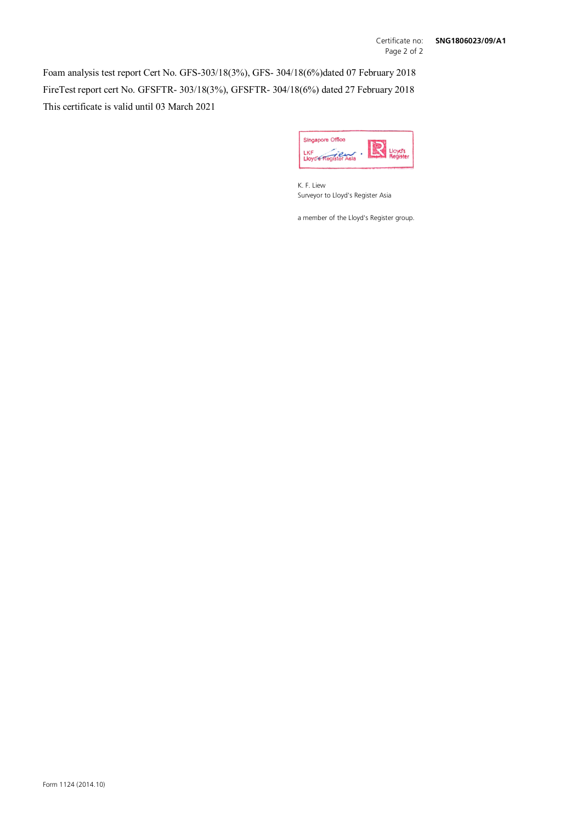Foam analysis test report Cert No. GFS-303/18(3%), GFS- 304/18(6%)dated 07 February 2018 FireTest report cert No. GFSFTR- 303/18(3%), GFSFTR- 304/18(6%) dated 27 February 2018 This certificate is valid until 03 March 2021



K. F. Liew Surveyor to Lloyd's Register Asia

a member of the Lloyd's Register group.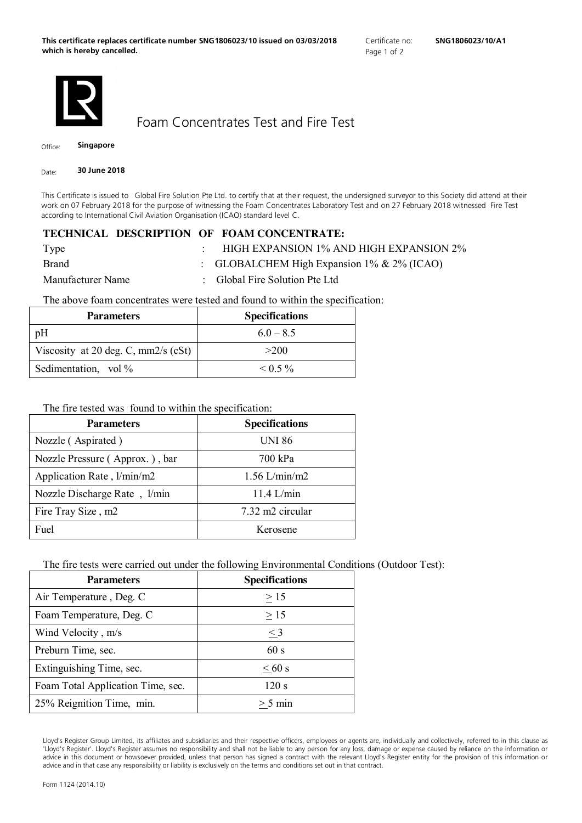

Foam Concentrates Test and Fire Test

Office: **Singapore**

Date: **30 June 2018**

This Certificate is issued to Global Fire Solution Pte Ltd. to certify that at their request, the undersigned surveyor to this Society did attend at their work on 07 February 2018 for the purpose of witnessing the Foam Concentrates Laboratory Test and on 27 February 2018 witnessed Fire Test according to International Civil Aviation Organisation (ICAO) standard level C.

## **TECHNICAL DESCRIPTION OF FOAM CONCENTRATE:**

| Type              | HIGH EXPANSION 1% AND HIGH EXPANSION 2%          |
|-------------------|--------------------------------------------------|
| <b>Brand</b>      | : GLOBALCHEM High Expansion $1\%$ & $2\%$ (ICAO) |
| Manufacturer Name | : Global Fire Solution Pte Ltd                   |

The above foam concentrates were tested and found to within the specification:

| <b>Parameters</b>                     | <b>Specifications</b> |
|---------------------------------------|-----------------------|
| pH                                    | $60 - 85$             |
| Viscosity at 20 deg. C, $mm2/s$ (cSt) | >200                  |
| Sedimentation, vol %                  | $\leq 0.5 \%$         |

## The fire tested was found to within the specification:

| <b>Parameters</b>              | <b>Specifications</b> |
|--------------------------------|-----------------------|
| Nozzle (Aspirated)             | <b>UNI 86</b>         |
| Nozzle Pressure (Approx.), bar | 700 kPa               |
| Application Rate, l/min/m2     | $1.56$ L/min/m2       |
| Nozzle Discharge Rate, 1/min   | 11.4 L/min            |
| Fire Tray Size, m2             | 7.32 m2 circular      |
| Fuel                           | Kerosene              |

The fire tests were carried out under the following Environmental Conditions (Outdoor Test):

| <b>Parameters</b>                 | <b>Specifications</b> |
|-----------------------------------|-----------------------|
| Air Temperature, Deg. C           | >15                   |
| Foam Temperature, Deg. C          | >15                   |
| Wind Velocity, m/s                | $\leq$ 3              |
| Preburn Time, sec.                | 60 s                  |
| Extinguishing Time, sec.          | $\leq 60$ s           |
| Foam Total Application Time, sec. | 120 s                 |
| 25% Reignition Time, min.         | $> 5 \text{ min}$     |

Lloyd's Register Group Limited, its affiliates and subsidiaries and their respective officers, employees or agents are, individually and collectively, referred to in this clause as 'Lloyd's Register'. Lloyd's Register assumes no responsibility and shall not be liable to any person for any loss, damage or expense caused by reliance on the information or advice in this document or howsoever provided, unless that person has signed a contract with the relevant Lloyd's Register entity for the provision of this information or advice and in that case any responsibility or liability is exclusively on the terms and conditions set out in that contract.